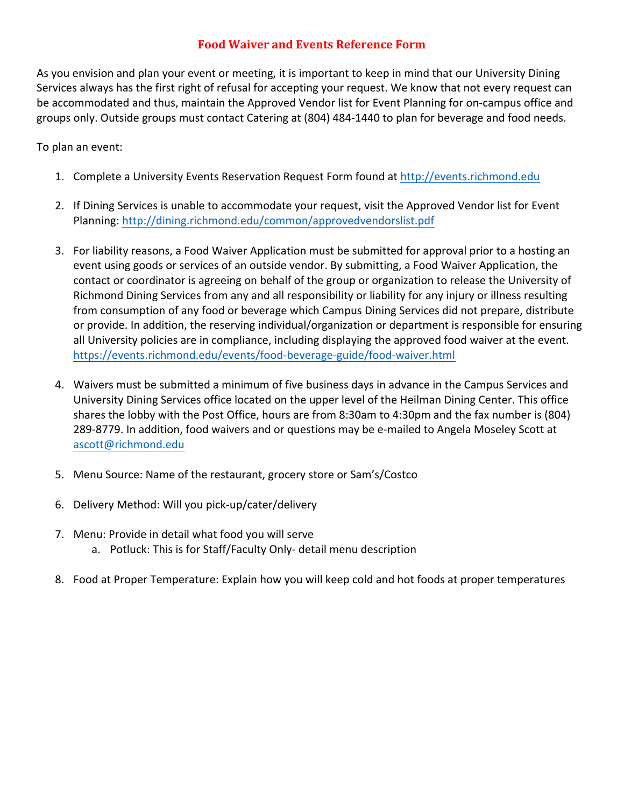## **Food Waiver and Events Reference Form**

As you envision and plan your event or meeting, it is important to keep in mind that our University Dining Services always has the first right of refusal for accepting your request. We know that not every request can be accommodated and thus, maintain the Approved Vendor list for Event Planning for on-campus office and groups only. Outside groups must contact Catering at (804) 484-1440 to plan for beverage and food needs.

To plan an event:

- 1. Complete a University Events Reservation Request Form found at http://events.richmond.edu
- 2. If Dining Services is unable to accommodate your request, visit the Approved Vendor list for Event Planning: http://dining.richmond.edu/common/approvedvendorslist.pdf
- 3. For liability reasons, a Food Waiver Application must be submitted for approval prior to a hosting an event using goods or services of an outside vendor. By submitting, a Food Waiver Application, the contact or coordinator is agreeing on behalf of the group or organization to release the University of Richmond Dining Services from any and all responsibility or liability for any injury or illness resulting from consumption of any food or beverage which Campus Dining Services did not prepare, distribute or provide. In addition, the reserving individual/organization or department is responsible for ensuring all University policies are in compliance, including displaying the approved food waiver at the event. https://events.richmond.edu/events/food-beverage-guide/food-waiver.html
- 4. Waivers must be submitted a minimum of five business days in advance in the Campus Services and University Dining Services office located on the upper level of the Heilman Dining Center. This office shares the lobby with the Post Office, hours are from 8:30am to 4:30pm and the fax number is (804) 289-8779. In addition, food waivers and or questions may be e-mailed to Angela Moseley Scott at ascott@richmond.edu
- 5. Menu Source: Name of the restaurant, grocery store or Sam's/Costco
- 6. Delivery Method: Will you pick-up/cater/delivery
- 7. Menu: Provide in detail what food you will serve a. Potluck: This is for Staff/Faculty Only- detail menu description
- 8. Food at Proper Temperature: Explain how you will keep cold and hot foods at proper temperatures